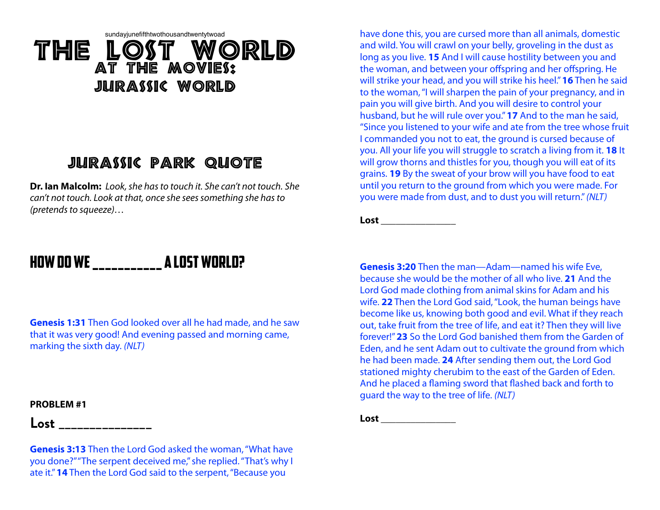# sundayjunefifthtwothousandtwentytwoad The Lost WORLD At The Movies: JILIRASSIC WORLD

# Jurassic Park Quote

**Dr. Ian Malcolm:** *Look, she has to touch it. She can't not touch. She can't not touch. Look at that, once she sees something she has to (pretends to squeeze)…* 

# How Do we \_\_\_\_\_\_\_\_\_\_\_ a LOST WORLD?

**Genesis 1:31** Then God looked over all he had made, and he saw that it was very good! And evening passed and morning came, marking the sixth day. *(NLT)*

#### **PROBLEM #1**

**Lost \_\_\_\_\_\_\_\_\_\_\_\_\_\_\_**

**Genesis 3:13** Then the Lord God asked the woman, "What have you done?" "The serpent deceived me," she replied. "That's why I ate it." **14** Then the Lord God said to the serpent, "Because you

have done this, you are cursed more than all animals, domestic and wild. You will crawl on your belly, groveling in the dust as long as you live. **15** And I will cause hostility between you and the woman, and between your offspring and her offspring. He will strike your head, and you will strike his heel." **16** Then he said to the woman, "I will sharpen the pain of your pregnancy, and in pain you will give birth. And you will desire to control your husband, but he will rule over you." **17** And to the man he said, "Since you listened to your wife and ate from the tree whose fruit I commanded you not to eat, the ground is cursed because of you. All your life you will struggle to scratch a living from it. **18** It will grow thorns and thistles for you, though you will eat of its grains. **19** By the sweat of your brow will you have food to eat until you return to the ground from which you were made. For you were made from dust, and to dust you will return."*(NLT)*

**Lost \_\_\_\_\_\_\_\_\_\_\_\_\_\_\_**

**Genesis 3:20** Then the man—Adam—named his wife Eve, because she would be the mother of all who live. **21** And the Lord God made clothing from animal skins for Adam and his wife. **22** Then the Lord God said, "Look, the human beings have become like us, knowing both good and evil. What if they reach out, take fruit from the tree of life, and eat it? Then they will live forever!" **23** So the Lord God banished them from the Garden of Eden, and he sent Adam out to cultivate the ground from which he had been made. **24** After sending them out, the Lord God stationed mighty cherubim to the east of the Garden of Eden. And he placed a flaming sword that flashed back and forth to guard the way to the tree of life. *(NLT)*

**Lost \_\_\_\_\_\_\_\_\_\_\_\_\_\_\_**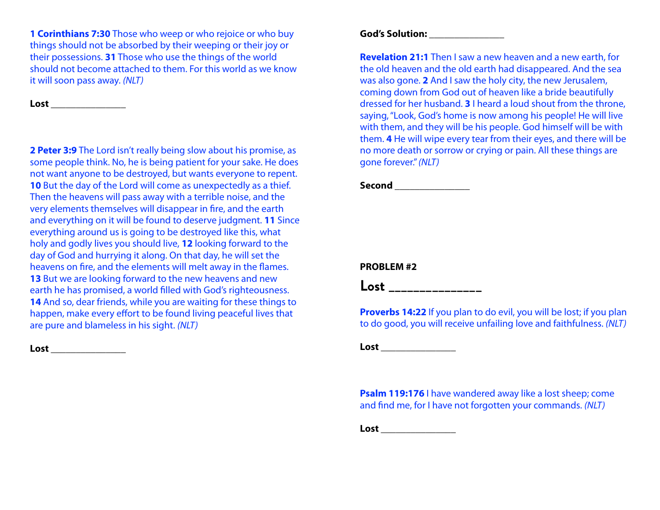**1 Corinthians 7:30** Those who weep or who rejoice or who buy things should not be absorbed by their weeping or their joy or their possessions. **31** Those who use the things of the world should not become attached to them. For this world as we know it will soon pass away. *(NLT)*

**Lost \_\_\_\_\_\_\_\_\_\_\_\_\_\_\_**

**2 Peter 3:9** The Lord isn't really being slow about his promise, as some people think. No, he is being patient for your sake. He does not want anyone to be destroyed, but wants everyone to repent. **10** But the day of the Lord will come as unexpectedly as a thief. Then the heavens will pass away with a terrible noise, and the very elements themselves will disappear in fire, and the earth and everything on it will be found to deserve judgment. **11** Since everything around us is going to be destroyed like this, what holy and godly lives you should live, **12** looking forward to the day of God and hurrying it along. On that day, he will set the heavens on fire, and the elements will melt away in the flames. **13** But we are looking forward to the new heavens and new earth he has promised, a world filled with God's righteousness. **14** And so, dear friends, while you are waiting for these things to happen, make every effort to be found living peaceful lives that are pure and blameless in his sight. *(NLT)*

**Lost \_\_\_\_\_\_\_\_\_\_\_\_\_\_\_**

### **God's Solution: \_\_\_\_\_\_\_\_\_\_\_\_\_\_\_**

**Revelation 21:1** Then I saw a new heaven and a new earth, for the old heaven and the old earth had disappeared. And the sea was also gone. **2** And I saw the holy city, the new Jerusalem, coming down from God out of heaven like a bride beautifully dressed for her husband. **3** I heard a loud shout from the throne, saying, "Look, God's home is now among his people! He will live with them, and they will be his people. God himself will be with them. **4** He will wipe every tear from their eyes, and there will be no more death or sorrow or crying or pain. All these things are gone forever."*(NLT)*

**Second \_\_\_\_\_\_\_\_\_\_\_\_\_\_\_**

## **PROBLEM #2**

**Lost \_\_\_\_\_\_\_\_\_\_\_\_\_\_\_**

**Proverbs 14:22** If you plan to do evil, you will be lost; if you plan to do good, you will receive unfailing love and faithfulness. *(NLT)*

**Lost \_\_\_\_\_\_\_\_\_\_\_\_\_\_\_**

**Psalm 119:176** I have wandered away like a lost sheep; come and find me, for I have not forgotten your commands. *(NLT)*

**Lost \_\_\_\_\_\_\_\_\_\_\_\_\_\_\_**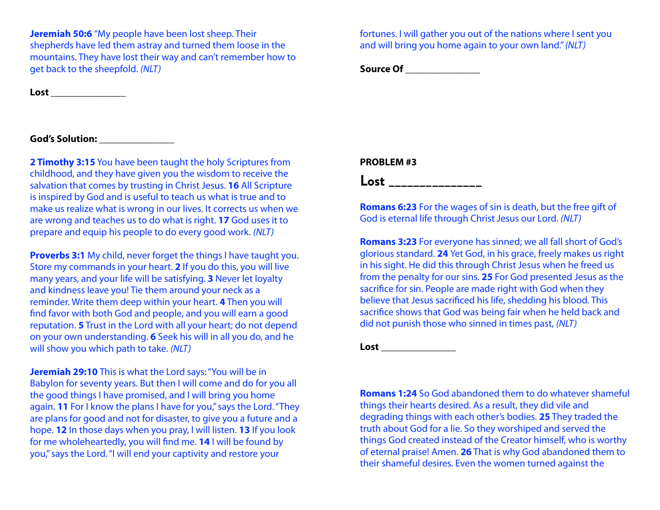**Jeremiah 50:6** "My people have been lost sheep. Their shepherds have led them astray and turned them loose in the mountains. They have lost their way and can't remember how to get back to the sheepfold. *(NLT)*

**Lost \_\_\_\_\_\_\_\_\_\_\_\_\_\_\_**

### **God's Solution: \_\_\_\_\_\_\_\_\_\_\_\_\_\_\_**

**2 Timothy 3:15** You have been taught the holy Scriptures from childhood, and they have given you the wisdom to receive the salvation that comes by trusting in Christ Jesus. **16** All Scripture is inspired by God and is useful to teach us what is true and to make us realize what is wrong in our lives. It corrects us when we are wrong and teaches us to do what is right. **17** God uses it to prepare and equip his people to do every good work. *(NLT)*

**Proverbs 3:1** My child, never forget the things I have taught you. Store my commands in your heart. **2** If you do this, you will live many years, and your life will be satisfying. **3** Never let loyalty and kindness leave you! Tie them around your neck as a reminder. Write them deep within your heart. **4** Then you will find favor with both God and people, and you will earn a good reputation. **5** Trust in the Lord with all your heart; do not depend on your own understanding. **6** Seek his will in all you do, and he will show you which path to take. *(NLT)*

**Jeremiah 29:10** This is what the Lord says: "You will be in Babylon for seventy years. But then I will come and do for you all the good things I have promised, and I will bring you home again. **11** For I know the plans I have for you," says the Lord. "They are plans for good and not for disaster, to give you a future and a hope. **12** In those days when you pray, I will listen. **13** If you look for me wholeheartedly, you will find me. **14** I will be found by you," says the Lord. "I will end your captivity and restore your

fortunes. I will gather you out of the nations where I sent you and will bring you home again to your own land."*(NLT)*

**Source Of \_\_\_\_\_\_\_\_\_\_\_\_\_\_\_**

#### **PROBLEM #3**

**Lost \_\_\_\_\_\_\_\_\_\_\_\_\_\_\_**

**Romans 6:23** For the wages of sin is death, but the free gift of God is eternal life through Christ Jesus our Lord. *(NLT)*

**Romans 3:23** For everyone has sinned; we all fall short of God's glorious standard. **24** Yet God, in his grace, freely makes us right in his sight. He did this through Christ Jesus when he freed us from the penalty for our sins. **25** For God presented Jesus as the sacrifice for sin. People are made right with God when they believe that Jesus sacrificed his life, shedding his blood. This sacrifice shows that God was being fair when he held back and did not punish those who sinned in times past, *(NLT)*

**Lost \_\_\_\_\_\_\_\_\_\_\_\_\_\_\_**

**Romans 1:24** So God abandoned them to do whatever shameful things their hearts desired. As a result, they did vile and degrading things with each other's bodies. **25** They traded the truth about God for a lie. So they worshiped and served the things God created instead of the Creator himself, who is worthy of eternal praise! Amen. **26** That is why God abandoned them to their shameful desires. Even the women turned against the